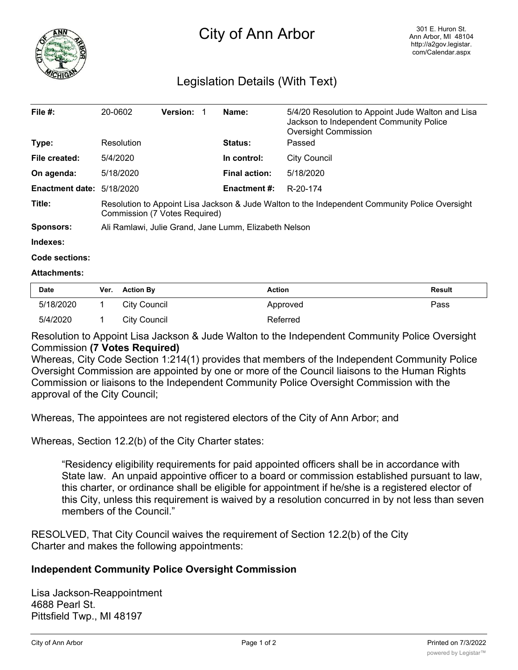

## City of Ann Arbor

## Legislation Details (With Text)

| File $#$ :             | 20-0602                                                                                                                         | <b>Version: 1</b> |  | Name:                | 5/4/20 Resolution to Appoint Jude Walton and Lisa<br>Jackson to Independent Community Police<br>Oversight Commission |  |
|------------------------|---------------------------------------------------------------------------------------------------------------------------------|-------------------|--|----------------------|----------------------------------------------------------------------------------------------------------------------|--|
| Type:                  | Resolution                                                                                                                      |                   |  | <b>Status:</b>       | Passed                                                                                                               |  |
| File created:          | 5/4/2020                                                                                                                        |                   |  | In control:          | City Council                                                                                                         |  |
| On agenda:             | 5/18/2020                                                                                                                       |                   |  | <b>Final action:</b> | 5/18/2020                                                                                                            |  |
| <b>Enactment date:</b> | 5/18/2020                                                                                                                       |                   |  | <b>Enactment #:</b>  | R-20-174                                                                                                             |  |
| Title:                 | Resolution to Appoint Lisa Jackson & Jude Walton to the Independent Community Police Oversight<br>Commission (7 Votes Required) |                   |  |                      |                                                                                                                      |  |
| Sponsors:              | Ali Ramlawi, Julie Grand, Jane Lumm, Elizabeth Nelson                                                                           |                   |  |                      |                                                                                                                      |  |

**Indexes:**

**Code sections:**

## **Attachments:**

| Date      | Ver. | <b>Action By</b> | <b>Action</b> | <b>Result</b> |
|-----------|------|------------------|---------------|---------------|
| 5/18/2020 |      | City Council     | Approved      | Pass          |
| 5/4/2020  |      | City Council     | Referred      |               |

Resolution to Appoint Lisa Jackson & Jude Walton to the Independent Community Police Oversight Commission **(7 Votes Required)**

Whereas, City Code Section 1:214(1) provides that members of the Independent Community Police Oversight Commission are appointed by one or more of the Council liaisons to the Human Rights Commission or liaisons to the Independent Community Police Oversight Commission with the approval of the City Council;

Whereas, The appointees are not registered electors of the City of Ann Arbor; and

Whereas, Section 12.2(b) of the City Charter states:

"Residency eligibility requirements for paid appointed officers shall be in accordance with State law. An unpaid appointive officer to a board or commission established pursuant to law, this charter, or ordinance shall be eligible for appointment if he/she is a registered elector of this City, unless this requirement is waived by a resolution concurred in by not less than seven members of the Council."

RESOLVED, That City Council waives the requirement of Section 12.2(b) of the City Charter and makes the following appointments:

## **Independent Community Police Oversight Commission**

Lisa Jackson-Reappointment 4688 Pearl St. Pittsfield Twp., MI 48197